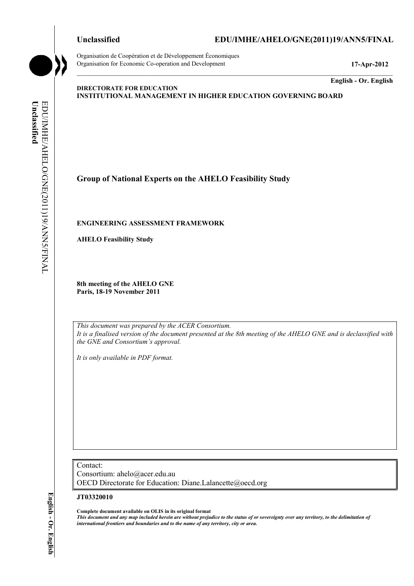#### **Unclassified EDU/IMHE/AHELO/GNE(2011)19/ANN5/FINAL**

Organisation de Coopération et de Développement Économiques Organisation for Economic Co-operation and Development **17-Apr-2012** 

**English - Or. English** 

#### **DIRECTORATE FOR EDUCATION INSTITUTIONAL MANAGEMENT IN HIGHER EDUCATION GOVERNING BOARD**

# **Group of National Experts on the AHELO Feasibility Study**

#### **ENGINEERING ASSESSMENT FRAMEWORK**

**AHELO Feasibility Study** 

**8th meeting of the AHELO GNE Paris, 18-19 November 2011** 

*This document was prepared by the ACER Consortium. It is a finalised version of the document presented at the 8th meeting of the AHELO GNE and is declassified with the GNE and Consortium's approval.* 

*It is only available in PDF format.* 

Contact: Consortium: ahelo@acer.edu.au OECD Directorate for Education: Diane.Lalancette@oecd.org

#### **JT03320010**

**Complete document available on OLIS in its original format** *This document and any map included herein are without prejudice to the status of or sovereignty over any territory, to the delimitation of international frontiers and boundaries and to the name of any territory, city or area.*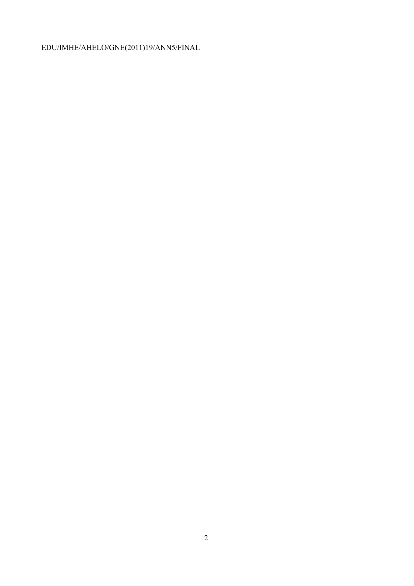EDU/IMHE/AHELO/GNE(2011)19/ANN5/FINAL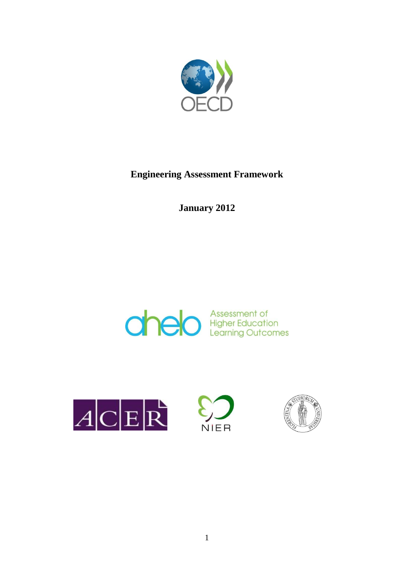

# **Engineering Assessment Framework**

**January 2012**







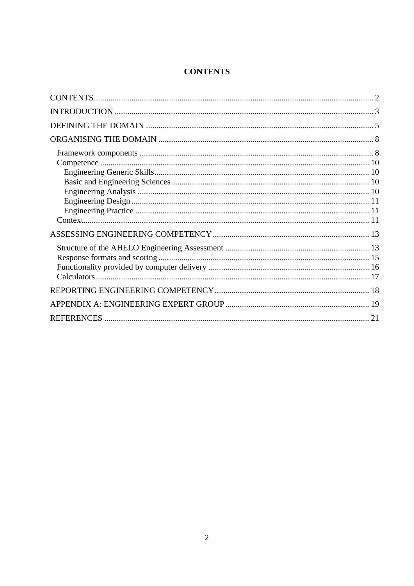# **CONTENTS**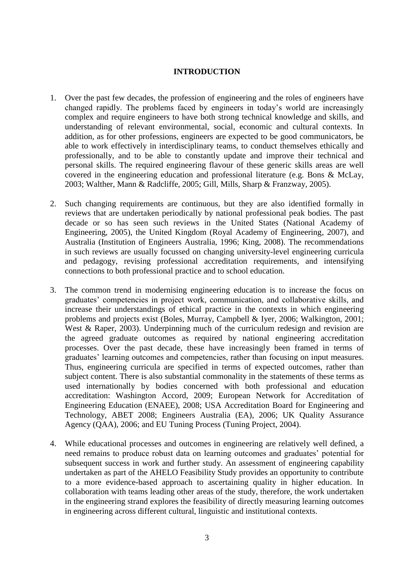# **INTRODUCTION**

- 1. Over the past few decades, the profession of engineering and the roles of engineers have changed rapidly. The problems faced by engineers in today"s world are increasingly complex and require engineers to have both strong technical knowledge and skills, and understanding of relevant environmental, social, economic and cultural contexts. In addition, as for other professions, engineers are expected to be good communicators, be able to work effectively in interdisciplinary teams, to conduct themselves ethically and professionally, and to be able to constantly update and improve their technical and personal skills. The required engineering flavour of these generic skills areas are well covered in the engineering education and professional literature (e.g. Bons & McLay, 2003; Walther, Mann & Radcliffe, 2005; Gill, Mills, Sharp & Franzway, 2005).
- 2. Such changing requirements are continuous, but they are also identified formally in reviews that are undertaken periodically by national professional peak bodies. The past decade or so has seen such reviews in the United States (National Academy of Engineering, 2005), the United Kingdom (Royal Academy of Engineering, 2007), and Australia (Institution of Engineers Australia, 1996; King, 2008). The recommendations in such reviews are usually focussed on changing university-level engineering curricula and pedagogy, revising professional accreditation requirements, and intensifying connections to both professional practice and to school education.
- 3. The common trend in modernising engineering education is to increase the focus on graduates" competencies in project work, communication, and collaborative skills, and increase their understandings of ethical practice in the contexts in which engineering problems and projects exist (Boles, Murray, Campbell & Iyer, 2006; Walkington, 2001; West & Raper, 2003). Underpinning much of the curriculum redesign and revision are the agreed graduate outcomes as required by national engineering accreditation processes. Over the past decade, these have increasingly been framed in terms of graduates' learning outcomes and competencies, rather than focusing on input measures. Thus, engineering curricula are specified in terms of expected outcomes, rather than subject content. There is also substantial commonality in the statements of these terms as used internationally by bodies concerned with both professional and education accreditation: Washington Accord, 2009; European Network for Accreditation of Engineering Education (ENAEE), 2008; USA Accreditation Board for Engineering and Technology, ABET 2008; Engineers Australia (EA), 2006; UK Quality Assurance Agency (QAA), 2006; and EU Tuning Process (Tuning Project, 2004).
- 4. While educational processes and outcomes in engineering are relatively well defined, a need remains to produce robust data on learning outcomes and graduates' potential for subsequent success in work and further study. An assessment of engineering capability undertaken as part of the AHELO Feasibility Study provides an opportunity to contribute to a more evidence-based approach to ascertaining quality in higher education. In collaboration with teams leading other areas of the study, therefore, the work undertaken in the engineering strand explores the feasibility of directly measuring learning outcomes in engineering across different cultural, linguistic and institutional contexts.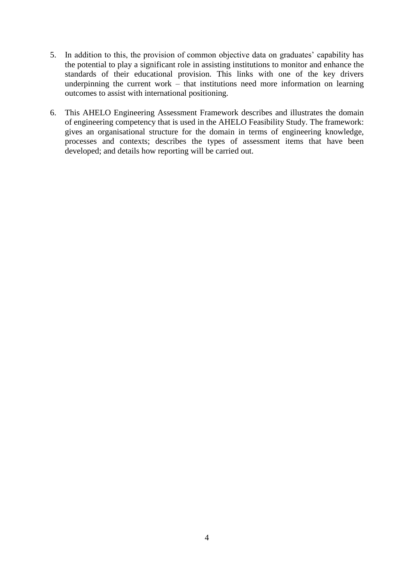- 5. In addition to this, the provision of common objective data on graduates' capability has the potential to play a significant role in assisting institutions to monitor and enhance the standards of their educational provision. This links with one of the key drivers underpinning the current work – that institutions need more information on learning outcomes to assist with international positioning.
- 6. This AHELO Engineering Assessment Framework describes and illustrates the domain of engineering competency that is used in the AHELO Feasibility Study. The framework: gives an organisational structure for the domain in terms of engineering knowledge, processes and contexts; describes the types of assessment items that have been developed; and details how reporting will be carried out.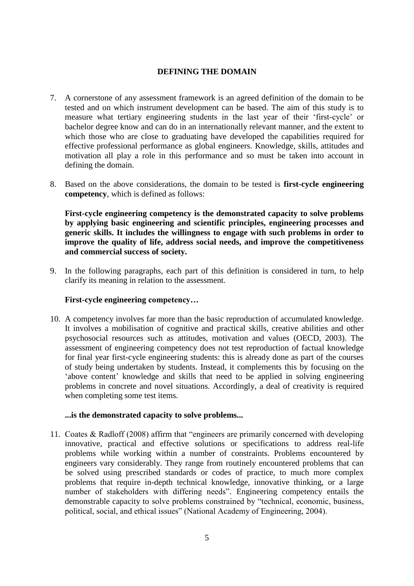# **DEFINING THE DOMAIN**

- 7. A cornerstone of any assessment framework is an agreed definition of the domain to be tested and on which instrument development can be based. The aim of this study is to measure what tertiary engineering students in the last year of their "first-cycle" or bachelor degree know and can do in an internationally relevant manner, and the extent to which those who are close to graduating have developed the capabilities required for effective professional performance as global engineers. Knowledge, skills, attitudes and motivation all play a role in this performance and so must be taken into account in defining the domain.
- 8. Based on the above considerations, the domain to be tested is **first-cycle engineering competency**, which is defined as follows:

**First-cycle engineering competency is the demonstrated capacity to solve problems by applying basic engineering and scientific principles, engineering processes and generic skills. It includes the willingness to engage with such problems in order to improve the quality of life, address social needs, and improve the competitiveness and commercial success of society.**

9. In the following paragraphs, each part of this definition is considered in turn, to help clarify its meaning in relation to the assessment.

#### **First-cycle engineering competency…**

10. A competency involves far more than the basic reproduction of accumulated knowledge. It involves a mobilisation of cognitive and practical skills, creative abilities and other psychosocial resources such as attitudes, motivation and values (OECD, 2003). The assessment of engineering competency does not test reproduction of factual knowledge for final year first-cycle engineering students: this is already done as part of the courses of study being undertaken by students. Instead, it complements this by focusing on the "above content" knowledge and skills that need to be applied in solving engineering problems in concrete and novel situations. Accordingly, a deal of creativity is required when completing some test items.

#### **...is the demonstrated capacity to solve problems...**

11. Coates & Radloff (2008) affirm that "engineers are primarily concerned with developing innovative, practical and effective solutions or specifications to address real-life problems while working within a number of constraints. Problems encountered by engineers vary considerably. They range from routinely encountered problems that can be solved using prescribed standards or codes of practice, to much more complex problems that require in-depth technical knowledge, innovative thinking, or a large number of stakeholders with differing needs". Engineering competency entails the demonstrable capacity to solve problems constrained by "technical, economic, business, political, social, and ethical issues" (National Academy of Engineering, 2004).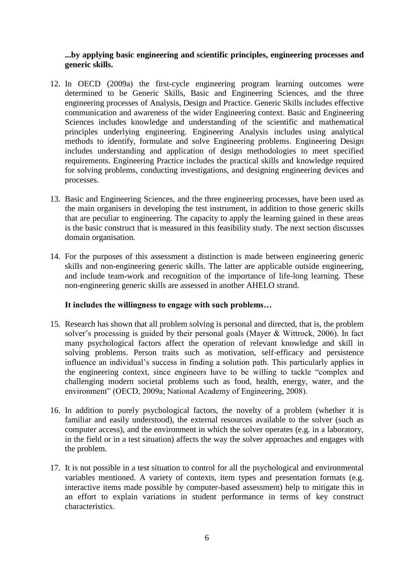#### **...by applying basic engineering and scientific principles, engineering processes and generic skills.**

- 12. In OECD (2009a) the first-cycle engineering program learning outcomes were determined to be Generic Skills, Basic and Engineering Sciences, and the three engineering processes of Analysis, Design and Practice. Generic Skills includes effective communication and awareness of the wider Engineering context. Basic and Engineering Sciences includes knowledge and understanding of the scientific and mathematical principles underlying engineering. Engineering Analysis includes using analytical methods to identify, formulate and solve Engineering problems. Engineering Design includes understanding and application of design methodologies to meet specified requirements. Engineering Practice includes the practical skills and knowledge required for solving problems, conducting investigations, and designing engineering devices and processes.
- 13. Basic and Engineering Sciences, and the three engineering processes, have been used as the main organisers in developing the test instrument, in addition to those generic skills that are peculiar to engineering. The capacity to apply the learning gained in these areas is the basic construct that is measured in this feasibility study. The next section discusses domain organisation.
- 14. For the purposes of this assessment a distinction is made between engineering generic skills and non-engineering generic skills. The latter are applicable outside engineering, and include team-work and recognition of the importance of life-long learning. These non-engineering generic skills are assessed in another AHELO strand.

#### **It includes the willingness to engage with such problems…**

- 15. Research has shown that all problem solving is personal and directed, that is, the problem solver's processing is guided by their personal goals (Mayer & Wittrock, 2006). In fact many psychological factors affect the operation of relevant knowledge and skill in solving problems. Person traits such as motivation, self-efficacy and persistence influence an individual"s success in finding a solution path. This particularly applies in the engineering context, since engineers have to be willing to tackle "complex and challenging modern societal problems such as food, health, energy, water, and the environment" (OECD, 2009a; National Academy of Engineering, 2008).
- 16. In addition to purely psychological factors, the novelty of a problem (whether it is familiar and easily understood), the external resources available to the solver (such as computer access), and the environment in which the solver operates (e.g. in a laboratory, in the field or in a test situation) affects the way the solver approaches and engages with the problem.
- 17. It is not possible in a test situation to control for all the psychological and environmental variables mentioned. A variety of contexts, item types and presentation formats (e.g. interactive items made possible by computer-based assessment) help to mitigate this in an effort to explain variations in student performance in terms of key construct characteristics.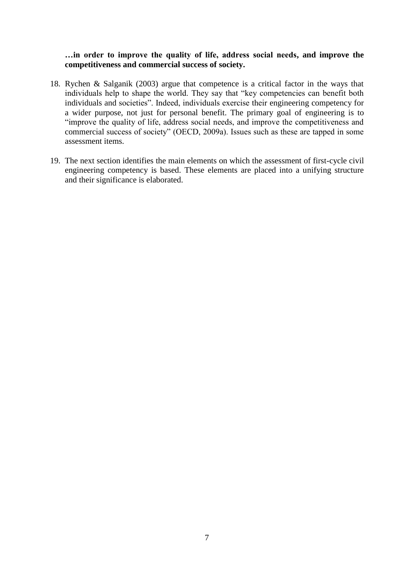# **…in order to improve the quality of life, address social needs, and improve the competitiveness and commercial success of society.**

- 18. Rychen & Salganik (2003) argue that competence is a critical factor in the ways that individuals help to shape the world. They say that "key competencies can benefit both individuals and societies". Indeed, individuals exercise their engineering competency for a wider purpose, not just for personal benefit. The primary goal of engineering is to "improve the quality of life, address social needs, and improve the competitiveness and commercial success of society" (OECD, 2009a). Issues such as these are tapped in some assessment items.
- 19. The next section identifies the main elements on which the assessment of first-cycle civil engineering competency is based. These elements are placed into a unifying structure and their significance is elaborated.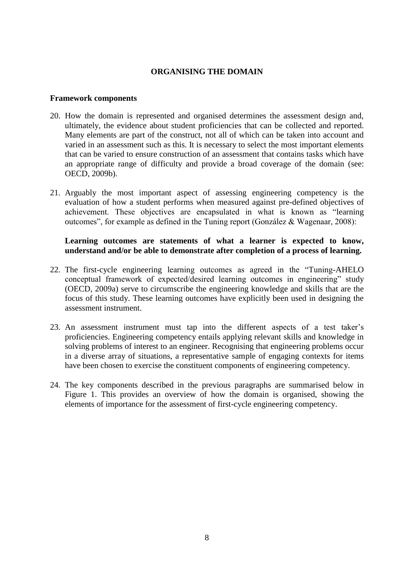# **ORGANISING THE DOMAIN**

#### **Framework components**

- 20. How the domain is represented and organised determines the assessment design and, ultimately, the evidence about student proficiencies that can be collected and reported. Many elements are part of the construct, not all of which can be taken into account and varied in an assessment such as this. It is necessary to select the most important elements that can be varied to ensure construction of an assessment that contains tasks which have an appropriate range of difficulty and provide a broad coverage of the domain (see: OECD, 2009b).
- 21. Arguably the most important aspect of assessing engineering competency is the evaluation of how a student performs when measured against pre-defined objectives of achievement. These objectives are encapsulated in what is known as "learning outcomes", for example as defined in the Tuning report (González & Wagenaar, 2008):

# **Learning outcomes are statements of what a learner is expected to know, understand and/or be able to demonstrate after completion of a process of learning.**

- 22. The first-cycle engineering learning outcomes as agreed in the "Tuning-AHELO conceptual framework of expected/desired learning outcomes in engineering" study (OECD, 2009a) serve to circumscribe the engineering knowledge and skills that are the focus of this study. These learning outcomes have explicitly been used in designing the assessment instrument.
- 23. An assessment instrument must tap into the different aspects of a test taker"s proficiencies. Engineering competency entails applying relevant skills and knowledge in solving problems of interest to an engineer. Recognising that engineering problems occur in a diverse array of situations, a representative sample of engaging contexts for items have been chosen to exercise the constituent components of engineering competency.
- 24. The key components described in the previous paragraphs are summarised below in [Figure 1.](#page-10-0) This provides an overview of how the domain is organised, showing the elements of importance for the assessment of first-cycle engineering competency.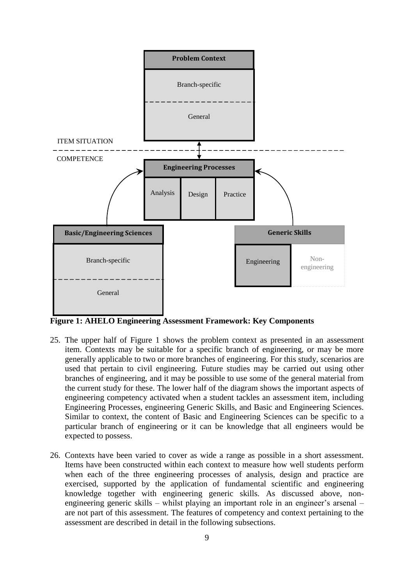

<span id="page-10-0"></span>**Figure 1: AHELO Engineering Assessment Framework: Key Components**

- 25. The upper half of [Figure 1](#page-10-0) shows the problem context as presented in an assessment item. Contexts may be suitable for a specific branch of engineering, or may be more generally applicable to two or more branches of engineering. For this study, scenarios are used that pertain to civil engineering. Future studies may be carried out using other branches of engineering, and it may be possible to use some of the general material from the current study for these. The lower half of the diagram shows the important aspects of engineering competency activated when a student tackles an assessment item, including Engineering Processes, engineering Generic Skills, and Basic and Engineering Sciences. Similar to context, the content of Basic and Engineering Sciences can be specific to a particular branch of engineering or it can be knowledge that all engineers would be expected to possess.
- 26. Contexts have been varied to cover as wide a range as possible in a short assessment. Items have been constructed within each context to measure how well students perform when each of the three engineering processes of analysis, design and practice are exercised, supported by the application of fundamental scientific and engineering knowledge together with engineering generic skills. As discussed above, nonengineering generic skills – whilst playing an important role in an engineer's arsenal – are not part of this assessment. The features of competency and context pertaining to the assessment are described in detail in the following subsections.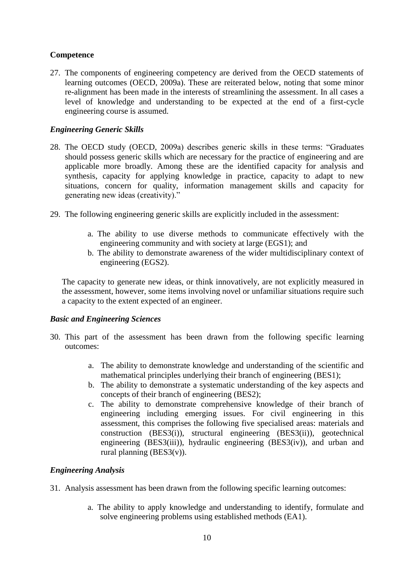# **Competence**

27. The components of engineering competency are derived from the OECD statements of learning outcomes (OECD, 2009a). These are reiterated below, noting that some minor re-alignment has been made in the interests of streamlining the assessment. In all cases a level of knowledge and understanding to be expected at the end of a first-cycle engineering course is assumed.

# *Engineering Generic Skills*

- 28. The OECD study (OECD, 2009a) describes generic skills in these terms: "Graduates should possess generic skills which are necessary for the practice of engineering and are applicable more broadly. Among these are the identified capacity for analysis and synthesis, capacity for applying knowledge in practice, capacity to adapt to new situations, concern for quality, information management skills and capacity for generating new ideas (creativity)."
- 29. The following engineering generic skills are explicitly included in the assessment:
	- a. The ability to use diverse methods to communicate effectively with the engineering community and with society at large (EGS1); and
	- b. The ability to demonstrate awareness of the wider multidisciplinary context of engineering (EGS2).

The capacity to generate new ideas, or think innovatively, are not explicitly measured in the assessment, however, some items involving novel or unfamiliar situations require such a capacity to the extent expected of an engineer.

#### *Basic and Engineering Sciences*

- 30. This part of the assessment has been drawn from the following specific learning outcomes:
	- a. The ability to demonstrate knowledge and understanding of the scientific and mathematical principles underlying their branch of engineering (BES1);
	- b. The ability to demonstrate a systematic understanding of the key aspects and concepts of their branch of engineering (BES2);
	- c. The ability to demonstrate comprehensive knowledge of their branch of engineering including emerging issues. For civil engineering in this assessment, this comprises the following five specialised areas: materials and construction (BES3(i)), structural engineering (BES3(ii)), geotechnical engineering (BES3(iii)), hydraulic engineering (BES3(iv)), and urban and rural planning  $(BES3(v))$ .

#### *Engineering Analysis*

- 31. Analysis assessment has been drawn from the following specific learning outcomes:
	- a. The ability to apply knowledge and understanding to identify, formulate and solve engineering problems using established methods (EA1).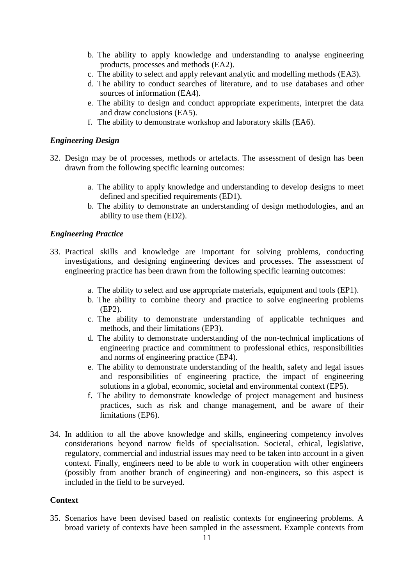- b. The ability to apply knowledge and understanding to analyse engineering products, processes and methods (EA2).
- c. The ability to select and apply relevant analytic and modelling methods (EA3).
- d. The ability to conduct searches of literature, and to use databases and other sources of information (EA4).
- e. The ability to design and conduct appropriate experiments, interpret the data and draw conclusions (EA5).
- f. The ability to demonstrate workshop and laboratory skills (EA6).

# *Engineering Design*

- 32. Design may be of processes, methods or artefacts. The assessment of design has been drawn from the following specific learning outcomes:
	- a. The ability to apply knowledge and understanding to develop designs to meet defined and specified requirements (ED1).
	- b. The ability to demonstrate an understanding of design methodologies, and an ability to use them (ED2).

# *Engineering Practice*

- 33. Practical skills and knowledge are important for solving problems, conducting investigations, and designing engineering devices and processes. The assessment of engineering practice has been drawn from the following specific learning outcomes:
	- a. The ability to select and use appropriate materials, equipment and tools (EP1).
	- b. The ability to combine theory and practice to solve engineering problems (EP2).
	- c. The ability to demonstrate understanding of applicable techniques and methods, and their limitations (EP3).
	- d. The ability to demonstrate understanding of the non-technical implications of engineering practice and commitment to professional ethics, responsibilities and norms of engineering practice (EP4).
	- e. The ability to demonstrate understanding of the health, safety and legal issues and responsibilities of engineering practice, the impact of engineering solutions in a global, economic, societal and environmental context (EP5).
	- f. The ability to demonstrate knowledge of project management and business practices, such as risk and change management, and be aware of their limitations (EP6).
- 34. In addition to all the above knowledge and skills, engineering competency involves considerations beyond narrow fields of specialisation. Societal, ethical, legislative, regulatory, commercial and industrial issues may need to be taken into account in a given context. Finally, engineers need to be able to work in cooperation with other engineers (possibly from another branch of engineering) and non-engineers, so this aspect is included in the field to be surveyed.

#### **Context**

35. Scenarios have been devised based on realistic contexts for engineering problems. A broad variety of contexts have been sampled in the assessment. Example contexts from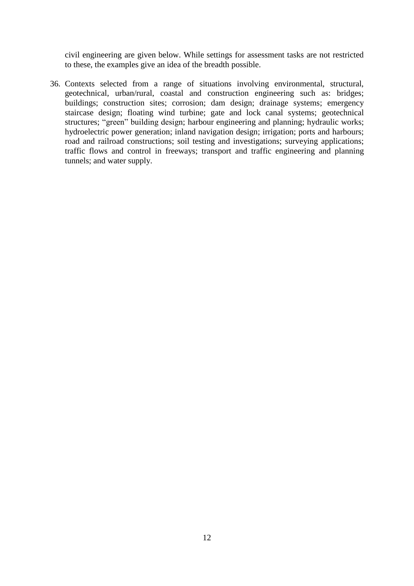civil engineering are given below. While settings for assessment tasks are not restricted to these, the examples give an idea of the breadth possible.

36. Contexts selected from a range of situations involving environmental, structural, geotechnical, urban/rural, coastal and construction engineering such as: bridges; buildings; construction sites; corrosion; dam design; drainage systems; emergency staircase design; floating wind turbine; gate and lock canal systems; geotechnical structures; "green" building design; harbour engineering and planning; hydraulic works; hydroelectric power generation; inland navigation design; irrigation; ports and harbours; road and railroad constructions; soil testing and investigations; surveying applications; traffic flows and control in freeways; transport and traffic engineering and planning tunnels; and water supply.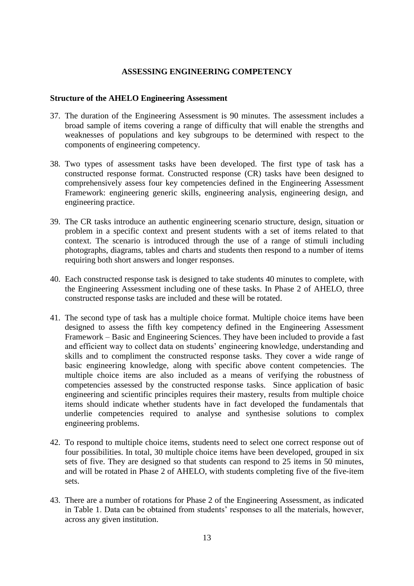#### **ASSESSING ENGINEERING COMPETENCY**

#### **Structure of the AHELO Engineering Assessment**

- 37. The duration of the Engineering Assessment is 90 minutes. The assessment includes a broad sample of items covering a range of difficulty that will enable the strengths and weaknesses of populations and key subgroups to be determined with respect to the components of engineering competency.
- 38. Two types of assessment tasks have been developed. The first type of task has a constructed response format. Constructed response (CR) tasks have been designed to comprehensively assess four key competencies defined in the Engineering Assessment Framework: engineering generic skills, engineering analysis, engineering design, and engineering practice.
- 39. The CR tasks introduce an authentic engineering scenario structure, design, situation or problem in a specific context and present students with a set of items related to that context. The scenario is introduced through the use of a range of stimuli including photographs, diagrams, tables and charts and students then respond to a number of items requiring both short answers and longer responses.
- 40. Each constructed response task is designed to take students 40 minutes to complete, with the Engineering Assessment including one of these tasks. In Phase 2 of AHELO, three constructed response tasks are included and these will be rotated.
- 41. The second type of task has a multiple choice format. Multiple choice items have been designed to assess the fifth key competency defined in the Engineering Assessment Framework – Basic and Engineering Sciences. They have been included to provide a fast and efficient way to collect data on students" engineering knowledge, understanding and skills and to compliment the constructed response tasks. They cover a wide range of basic engineering knowledge, along with specific above content competencies. The multiple choice items are also included as a means of verifying the robustness of competencies assessed by the constructed response tasks. Since application of basic engineering and scientific principles requires their mastery, results from multiple choice items should indicate whether students have in fact developed the fundamentals that underlie competencies required to analyse and synthesise solutions to complex engineering problems.
- 42. To respond to multiple choice items, students need to select one correct response out of four possibilities. In total, 30 multiple choice items have been developed, grouped in six sets of five. They are designed so that students can respond to 25 items in 50 minutes, and will be rotated in Phase 2 of AHELO, with students completing five of the five-item sets.
- 43. There are a number of rotations for Phase 2 of the Engineering Assessment, as indicated in [Table 1.](#page-15-0) Data can be obtained from students' responses to all the materials, however, across any given institution.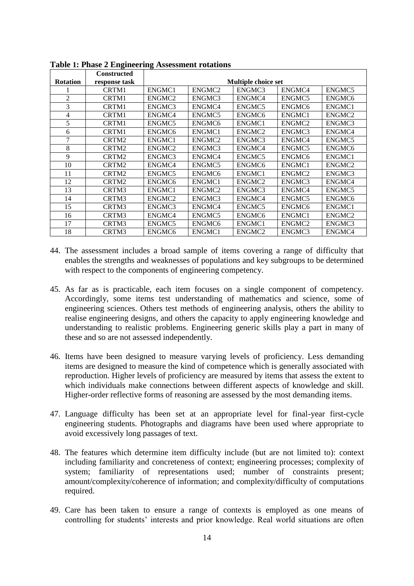|                 | <b>Constructed</b> |                            |                    |                    |                    |                    |
|-----------------|--------------------|----------------------------|--------------------|--------------------|--------------------|--------------------|
| <b>Rotation</b> | response task      | <b>Multiple choice set</b> |                    |                    |                    |                    |
|                 | CRTM1              | ENGMC1                     | ENGMC <sub>2</sub> | ENGMC3             | ENGMC4             | ENGMC5             |
| $\overline{2}$  | CRTM1              | ENGMC <sub>2</sub>         | ENGMC3             | ENGMC4             | ENGMC5             | ENGMC6             |
| 3               | CRTM1              | ENGMC3                     | ENGMC4             | ENGMC5             | ENGMC6             | ENGMC1             |
| 4               | CRTM1              | ENGMC4                     | ENGMC5             | ENGMC6             | ENGMC1             | ENGMC <sub>2</sub> |
| 5               | CRTM1              | ENGMC5                     | ENGMC <sub>6</sub> | ENGMC1             | ENGMC <sub>2</sub> | ENGMC3             |
| 6               | CRTM1              | ENGMC <sub>6</sub>         | ENGMC1             | ENGMC <sub>2</sub> | ENGMC3             | ENGMC4             |
| 7               | CRTM <sub>2</sub>  | ENGMC1                     | ENGMC <sub>2</sub> | ENGMC3             | ENGMC4             | ENGMC5             |
| 8               | CRTM2              | ENGMC <sub>2</sub>         | ENGMC3             | ENGMC4             | ENGMC5             | ENGMC <sub>6</sub> |
| 9               | CRTM2              | ENGMC3                     | ENGMC4             | ENGMC5             | ENGMC6             | ENGMC1             |
| 10              | CRTM2              | ENGMC4                     | ENGMC5             | ENGMC6             | ENGMC1             | ENGMC <sub>2</sub> |
| 11              | CRTM2              | ENGMC5                     | ENGMC <sub>6</sub> | ENGMC1             | ENGMC <sub>2</sub> | ENGMC3             |
| 12              | CRTM2              | ENGMC6                     | ENGMC1             | ENGMC <sub>2</sub> | ENGMC3             | ENGMC4             |
| 13              | CRTM3              | ENGMC1                     | ENGMC <sub>2</sub> | ENGMC3             | ENGMC4             | ENGMC5             |
| 14              | CRTM3              | ENGMC <sub>2</sub>         | ENGMC3             | ENGMC4             | ENGMC5             | ENGMC <sub>6</sub> |
| 15              | CRTM3              | ENGMC3                     | ENGMC4             | ENGMC5             | ENGMC6             | ENGMC1             |
| 16              | CRTM3              | ENGMC4                     | ENGMC5             | ENGMC6             | ENGMC1             | ENGMC <sub>2</sub> |
| 17              | CRTM3              | ENGMC5                     | ENGMC <sub>6</sub> | ENGMC1             | ENGMC2             | ENGMC3             |
| 18              | CRTM3              | ENGMC <sub>6</sub>         | ENGMC1             | ENGMC <sub>2</sub> | ENGMC3             | ENGMC4             |

<span id="page-15-0"></span>**Table 1: Phase 2 Engineering Assessment rotations**

- 44. The assessment includes a broad sample of items covering a range of difficulty that enables the strengths and weaknesses of populations and key subgroups to be determined with respect to the components of engineering competency.
- 45. As far as is practicable, each item focuses on a single component of competency. Accordingly, some items test understanding of mathematics and science, some of engineering sciences. Others test methods of engineering analysis, others the ability to realise engineering designs, and others the capacity to apply engineering knowledge and understanding to realistic problems. Engineering generic skills play a part in many of these and so are not assessed independently.
- 46. Items have been designed to measure varying levels of proficiency. Less demanding items are designed to measure the kind of competence which is generally associated with reproduction. Higher levels of proficiency are measured by items that assess the extent to which individuals make connections between different aspects of knowledge and skill. Higher-order reflective forms of reasoning are assessed by the most demanding items.
- 47. Language difficulty has been set at an appropriate level for final-year first-cycle engineering students. Photographs and diagrams have been used where appropriate to avoid excessively long passages of text.
- 48. The features which determine item difficulty include (but are not limited to): context including familiarity and concreteness of context; engineering processes; complexity of system; familiarity of representations used; number of constraints present; amount/complexity/coherence of information; and complexity/difficulty of computations required.
- 49. Care has been taken to ensure a range of contexts is employed as one means of controlling for students' interests and prior knowledge. Real world situations are often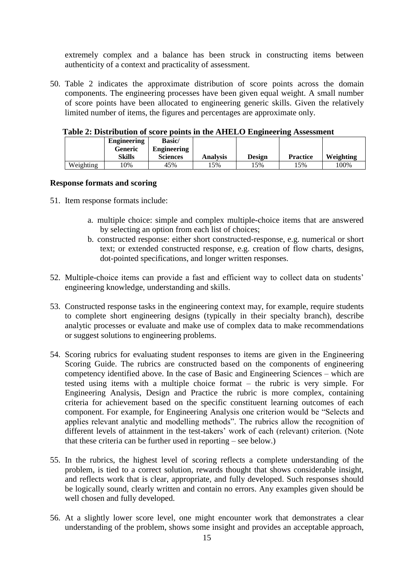extremely complex and a balance has been struck in constructing items between authenticity of a context and practicality of assessment.

50. [Table 2](#page-16-0) indicates the approximate distribution of score points across the domain components. The engineering processes have been given equal weight. A small number of score points have been allocated to engineering generic skills. Given the relatively limited number of items, the figures and percentages are approximate only.

|           | <b>Engineering</b> | <b>Basic</b> /     |          |               |                 |           |
|-----------|--------------------|--------------------|----------|---------------|-----------------|-----------|
|           | Generic            | <b>Engineering</b> |          |               |                 |           |
|           | Skills             | <b>Sciences</b>    | Analvsis | <b>Design</b> | <b>Practice</b> | Weighting |
| Weighting | 10%                | 45%                | .5%      | .5%           | .5%             | 100%      |

<span id="page-16-0"></span> **Table 2: Distribution of score points in the AHELO Engineering Assessment**

#### **Response formats and scoring**

- 51. Item response formats include:
	- a. multiple choice: simple and complex multiple-choice items that are answered by selecting an option from each list of choices;
	- b. constructed response: either short constructed-response, e.g. numerical or short text; or extended constructed response, e.g. creation of flow charts, designs, dot-pointed specifications, and longer written responses.
- 52. Multiple-choice items can provide a fast and efficient way to collect data on students" engineering knowledge, understanding and skills.
- 53. Constructed response tasks in the engineering context may, for example, require students to complete short engineering designs (typically in their specialty branch), describe analytic processes or evaluate and make use of complex data to make recommendations or suggest solutions to engineering problems.
- 54. Scoring rubrics for evaluating student responses to items are given in the Engineering Scoring Guide. The rubrics are constructed based on the components of engineering competency identified above. In the case of Basic and Engineering Sciences – which are tested using items with a multiple choice format – the rubric is very simple. For Engineering Analysis, Design and Practice the rubric is more complex, containing criteria for achievement based on the specific constituent learning outcomes of each component. For example, for Engineering Analysis one criterion would be "Selects and applies relevant analytic and modelling methods". The rubrics allow the recognition of different levels of attainment in the test-takers' work of each (relevant) criterion. (Note that these criteria can be further used in reporting – see below.)
- 55. In the rubrics, the highest level of scoring reflects a complete understanding of the problem, is tied to a correct solution, rewards thought that shows considerable insight, and reflects work that is clear, appropriate, and fully developed. Such responses should be logically sound, clearly written and contain no errors. Any examples given should be well chosen and fully developed.
- 56. At a slightly lower score level, one might encounter work that demonstrates a clear understanding of the problem, shows some insight and provides an acceptable approach,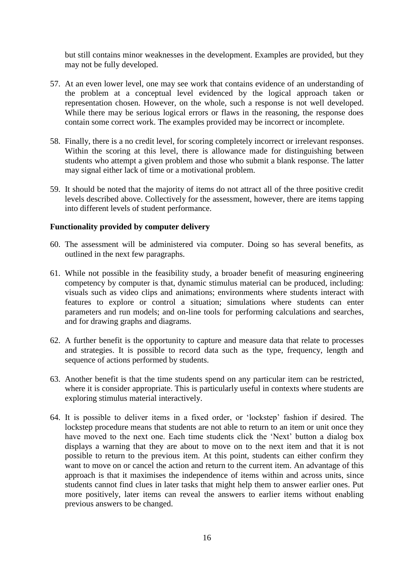but still contains minor weaknesses in the development. Examples are provided, but they may not be fully developed.

- 57. At an even lower level, one may see work that contains evidence of an understanding of the problem at a conceptual level evidenced by the logical approach taken or representation chosen. However, on the whole, such a response is not well developed. While there may be serious logical errors or flaws in the reasoning, the response does contain some correct work. The examples provided may be incorrect or incomplete.
- 58. Finally, there is a no credit level, for scoring completely incorrect or irrelevant responses. Within the scoring at this level, there is allowance made for distinguishing between students who attempt a given problem and those who submit a blank response. The latter may signal either lack of time or a motivational problem.
- 59. It should be noted that the majority of items do not attract all of the three positive credit levels described above. Collectively for the assessment, however, there are items tapping into different levels of student performance.

#### **Functionality provided by computer delivery**

- 60. The assessment will be administered via computer. Doing so has several benefits, as outlined in the next few paragraphs.
- 61. While not possible in the feasibility study, a broader benefit of measuring engineering competency by computer is that, dynamic stimulus material can be produced, including: visuals such as video clips and animations; environments where students interact with features to explore or control a situation; simulations where students can enter parameters and run models; and on-line tools for performing calculations and searches, and for drawing graphs and diagrams.
- 62. A further benefit is the opportunity to capture and measure data that relate to processes and strategies. It is possible to record data such as the type, frequency, length and sequence of actions performed by students.
- 63. Another benefit is that the time students spend on any particular item can be restricted, where it is consider appropriate. This is particularly useful in contexts where students are exploring stimulus material interactively.
- 64. It is possible to deliver items in a fixed order, or "lockstep" fashion if desired. The lockstep procedure means that students are not able to return to an item or unit once they have moved to the next one. Each time students click the 'Next' button a dialog box displays a warning that they are about to move on to the next item and that it is not possible to return to the previous item. At this point, students can either confirm they want to move on or cancel the action and return to the current item. An advantage of this approach is that it maximises the independence of items within and across units, since students cannot find clues in later tasks that might help them to answer earlier ones. Put more positively, later items can reveal the answers to earlier items without enabling previous answers to be changed.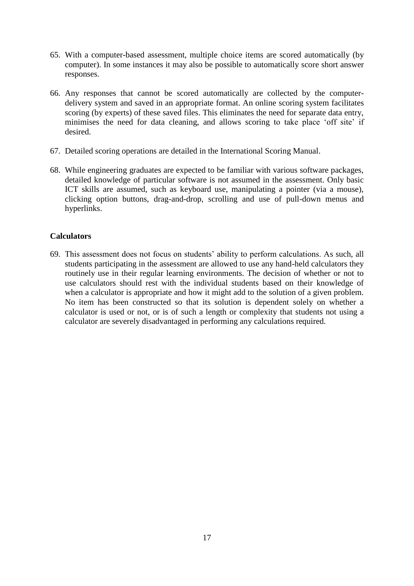- 65. With a computer-based assessment, multiple choice items are scored automatically (by computer). In some instances it may also be possible to automatically score short answer responses.
- 66. Any responses that cannot be scored automatically are collected by the computerdelivery system and saved in an appropriate format. An online scoring system facilitates scoring (by experts) of these saved files. This eliminates the need for separate data entry, minimises the need for data cleaning, and allows scoring to take place 'off site' if desired.
- 67. Detailed scoring operations are detailed in the International Scoring Manual.
- 68. While engineering graduates are expected to be familiar with various software packages, detailed knowledge of particular software is not assumed in the assessment. Only basic ICT skills are assumed, such as keyboard use, manipulating a pointer (via a mouse), clicking option buttons, drag-and-drop, scrolling and use of pull-down menus and hyperlinks.

# **Calculators**

69. This assessment does not focus on students" ability to perform calculations. As such, all students participating in the assessment are allowed to use any hand-held calculators they routinely use in their regular learning environments. The decision of whether or not to use calculators should rest with the individual students based on their knowledge of when a calculator is appropriate and how it might add to the solution of a given problem. No item has been constructed so that its solution is dependent solely on whether a calculator is used or not, or is of such a length or complexity that students not using a calculator are severely disadvantaged in performing any calculations required.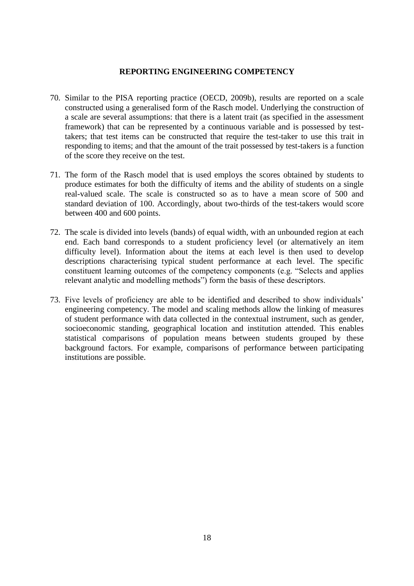#### **REPORTING ENGINEERING COMPETENCY**

- 70. Similar to the PISA reporting practice (OECD, 2009b), results are reported on a scale constructed using a generalised form of the Rasch model. Underlying the construction of a scale are several assumptions: that there is a latent trait (as specified in the assessment framework) that can be represented by a continuous variable and is possessed by testtakers; that test items can be constructed that require the test-taker to use this trait in responding to items; and that the amount of the trait possessed by test-takers is a function of the score they receive on the test.
- 71. The form of the Rasch model that is used employs the scores obtained by students to produce estimates for both the difficulty of items and the ability of students on a single real-valued scale. The scale is constructed so as to have a mean score of 500 and standard deviation of 100. Accordingly, about two-thirds of the test-takers would score between 400 and 600 points.
- 72. The scale is divided into levels (bands) of equal width, with an unbounded region at each end. Each band corresponds to a student proficiency level (or alternatively an item difficulty level). Information about the items at each level is then used to develop descriptions characterising typical student performance at each level. The specific constituent learning outcomes of the competency components (e.g. "Selects and applies relevant analytic and modelling methods") form the basis of these descriptors.
- 73. Five levels of proficiency are able to be identified and described to show individuals" engineering competency. The model and scaling methods allow the linking of measures of student performance with data collected in the contextual instrument, such as gender, socioeconomic standing, geographical location and institution attended. This enables statistical comparisons of population means between students grouped by these background factors. For example, comparisons of performance between participating institutions are possible.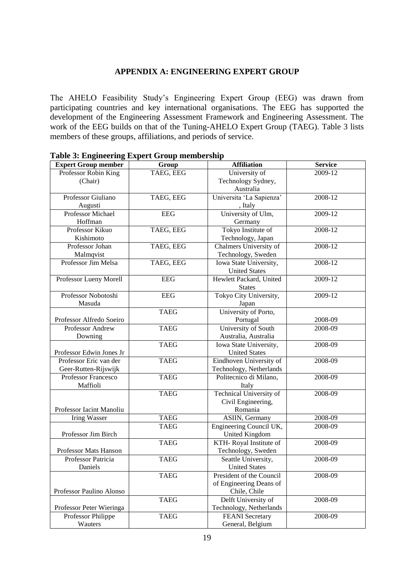#### **APPENDIX A: ENGINEERING EXPERT GROUP**

The AHELO Feasibility Study"s Engineering Expert Group (EEG) was drawn from participating countries and key international organisations. The EEG has supported the development of the Engineering Assessment Framework and Engineering Assessment. The work of the EEG builds on that of the Tuning-AHELO Expert Group (TAEG). [Table 3](#page-20-0) lists members of these groups, affiliations, and periods of service.

| <b>Expert Group member</b> | Group       | <b>Affiliation</b>             | <b>Service</b> |
|----------------------------|-------------|--------------------------------|----------------|
| Professor Robin King       | TAEG, EEG   | University of                  | 2009-12        |
| (Chair)                    |             | Technology Sydney,             |                |
|                            |             | Australia                      |                |
| Professor Giuliano         | TAEG, EEG   | Universita 'La Sapienza'       | 2008-12        |
| Augusti                    |             | , Italy                        |                |
| Professor Michael          | <b>EEG</b>  | University of Ulm,             | 2009-12        |
| Hoffman                    |             | Germany                        |                |
| Professor Kikuo            | TAEG, EEG   | Tokyo Institute of             | 2008-12        |
| Kishimoto                  |             | Technology, Japan              |                |
| Professor Johan            | TAEG, EEG   | Chalmers University of         | 2008-12        |
| Malmqvist                  |             | Technology, Sweden             |                |
| Professor Jim Melsa        | TAEG, EEG   | Iowa State University,         | 2008-12        |
|                            |             | <b>United States</b>           |                |
| Professor Lueny Morell     | <b>EEG</b>  | Hewlett Packard, United        | 2009-12        |
|                            |             | <b>States</b>                  |                |
| Professor Nobotoshi        | <b>EEG</b>  | Tokyo City University,         | 2009-12        |
| Masuda                     |             | Japan                          |                |
|                            | <b>TAEG</b> | University of Porto,           |                |
| Professor Alfredo Soeiro   |             | Portugal                       | 2008-09        |
| Professor Andrew           | <b>TAEG</b> | University of South            | 2008-09        |
| Downing                    |             | Australia, Australia           |                |
|                            | <b>TAEG</b> | Iowa State University,         | 2008-09        |
| Professor Edwin Jones Jr   |             | <b>United States</b>           |                |
| Professor Eric van der     | <b>TAEG</b> | Eindhoven University of        | 2008-09        |
| Geer-Rutten-Rijswijk       |             | Technology, Netherlands        |                |
| Professor Francesco        | <b>TAEG</b> | Politecnico di Milano,         | 2008-09        |
| Maffioli                   |             | Italy                          |                |
|                            | <b>TAEG</b> | <b>Technical University of</b> | 2008-09        |
|                            |             | Civil Engineering,             |                |
| Professor Iacint Manoliu   |             | Romania                        |                |
| <b>Iring Wasser</b>        | <b>TAEG</b> | ASIIN, Germany                 | 2008-09        |
|                            | <b>TAEG</b> | Engineering Council UK,        | 2008-09        |
| Professor Jim Birch        |             | United Kingdom                 |                |
|                            | <b>TAEG</b> | KTH-Royal Institute of         | 2008-09        |
| Professor Mats Hanson      |             | Technology, Sweden             |                |
| Professor Patricia         | <b>TAEG</b> | Seattle University,            | 2008-09        |
| Daniels                    |             | <b>United States</b>           |                |
|                            | <b>TAEG</b> | President of the Council       | 2008-09        |
|                            |             | of Engineering Deans of        |                |
| Professor Paulino Alonso   |             | Chile, Chile                   |                |
|                            | <b>TAEG</b> | Delft University of            | 2008-09        |
| Professor Peter Wieringa   |             | Technology, Netherlands        |                |
| Professor Philippe         | <b>TAEG</b> | <b>FEANI</b> Secretary         | 2008-09        |
| Wauters                    |             | General, Belgium               |                |

<span id="page-20-0"></span>**Table 3: Engineering Expert Group membership**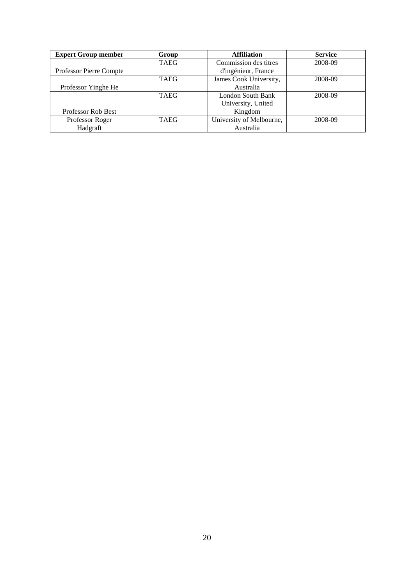| <b>Expert Group member</b> | Group       | <b>Affiliation</b>       | <b>Service</b> |
|----------------------------|-------------|--------------------------|----------------|
|                            | <b>TAEG</b> | Commission des titres    | 2008-09        |
| Professor Pierre Compte    |             | d'ingénieur, France      |                |
|                            | <b>TAEG</b> | James Cook University,   | 2008-09        |
| Professor Yinghe He        |             | Australia                |                |
|                            | <b>TAEG</b> | London South Bank        | 2008-09        |
|                            |             | University, United       |                |
| Professor Rob Best         |             | Kingdom                  |                |
| Professor Roger            | <b>TAEG</b> | University of Melbourne, | 2008-09        |
| Hadgraft                   |             | Australia                |                |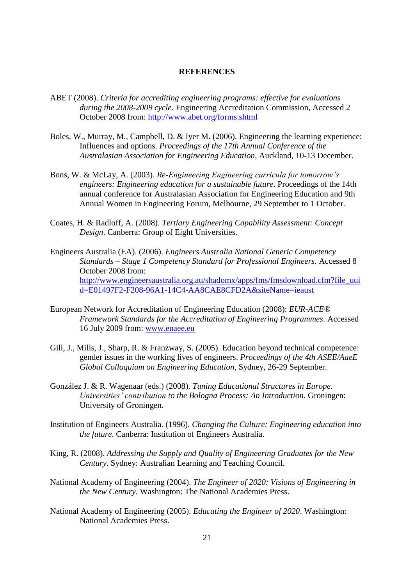#### **REFERENCES**

- ABET (2008). *Criteria for accrediting engineering programs: effective for evaluations during the 2008-2009 cycle*. Engineering Accreditation Commission, Accessed 2 October 2008 from:<http://www.abet.org/forms.shtml>
- Boles, W., Murray, M., Campbell, D. & Iyer M. (2006). Engineering the learning experience: Influences and options. *Proceedings of the 17th Annual Conference of the Australasian Association for Engineering Education*, Auckland, 10-13 December.
- Bons, W. & McLay, A. (2003). *Re-Engineering Engineering curricula for tomorrow's engineers: Engineering education for a sustainable future*. Proceedings of the 14th annual conference for Australasian Association for Engineering Education and 9th Annual Women in Engineering Forum, Melbourne, 29 September to 1 October.
- Coates, H. & Radloff, A. (2008). *Tertiary Engineering Capability Assessment: Concept Design*. Canberra: Group of Eight Universities.
- Engineers Australia (EA). (2006). *Engineers Australia National Generic Competency Standards – Stage 1 Competency Standard for Professional Engineers*. Accessed 8 October 2008 from: [http://www.engineersaustralia.org.au/shadomx/apps/fms/fmsdownload.cfm?file\\_uui](http://www.engineersaustralia.org.au/shadomx/apps/fms/fmsdownload.cfm?file_uuid=E01497F2-F208-96A1-14C4-AA8CAE8CFD2A&siteName=ieaust) [d=E01497F2-F208-96A1-14C4-AA8CAE8CFD2A&siteName=ieaust](http://www.engineersaustralia.org.au/shadomx/apps/fms/fmsdownload.cfm?file_uuid=E01497F2-F208-96A1-14C4-AA8CAE8CFD2A&siteName=ieaust)
- European Network for Accreditation of Engineering Education (2008): *EUR-ACE® Framework Standards for the Accreditation of Engineering Programmes*. Accessed 16 July 2009 from: [www.enaee.eu](http://www.enaee.eu/)
- Gill, J., Mills, J., Sharp, R. & Franzway, S. (2005). Education beyond technical competence: gender issues in the working lives of engineers. *Proceedings of the 4th ASEE/AaeE Global Colloquium on Engineering Education*, Sydney, 26-29 September.
- González J. & R. Wagenaar (eds.) (2008). *Tuning Educational Structures in Europe. Universities' contribution to the Bologna Process: An Introduction*. Groningen: University of Groningen.
- Institution of Engineers Australia. (1996). *Changing the Culture: Engineering education into the future*. Canberra: Institution of Engineers Australia.
- King, R. (2008). *Addressing the Supply and Quality of Engineering Graduates for the New Century*. Sydney: Australian Learning and Teaching Council.
- National Academy of Engineering (2004). *The Engineer of 2020: Visions of Engineering in the New Century*. Washington: The National Academies Press.
- National Academy of Engineering (2005). *Educating the Engineer of 2020*. Washington: National Academies Press.